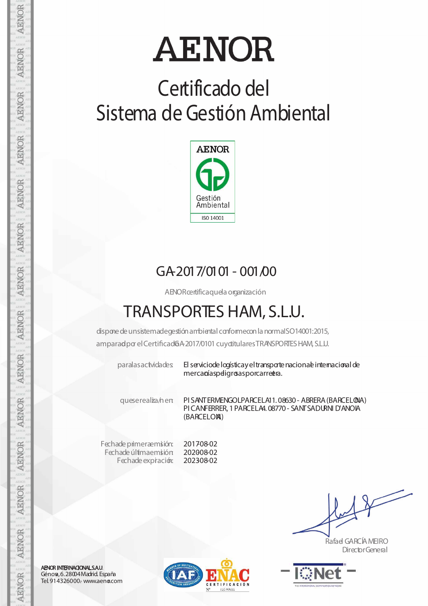# **AENOR**

### **Certificado del Sistema de Gestión Ambiental**



#### GA-2017/0101- 001/00

AENORcertificaquela organización

### **TRANSPORTES HAM, S.L.U.**

dispone de unsistemadegestión ambiental conformecon la normaISO14001:2015, amparadpor el Certificad 6A 2017/0101 cuy ditulares TRANSPORTES HAM, S.L.U.

paralasactvidades El serviciode logísticay el transporte nacionale internacional de mercaníaspeligrosasporcarretra.

queserealiza/nen: PI SANTERMENGOLPARCELA11. 08630- ABRERA(BARCELONA) PI CANFERRER,1PARCELA4. 08770- SANTSADURNI D'ANOIA (BARCELONA)

Fechade primeraemisión: Fechade últimaemisión Fechade expiración:

201708-02 202008-02 202308-02

Rafael GARCÍAMEIRO DirectorGeneral



AENOR INTERNACIONAL S.A.U. Génova, 6.28004 Madrid. España Tel. 914326000.- www.aeno.com